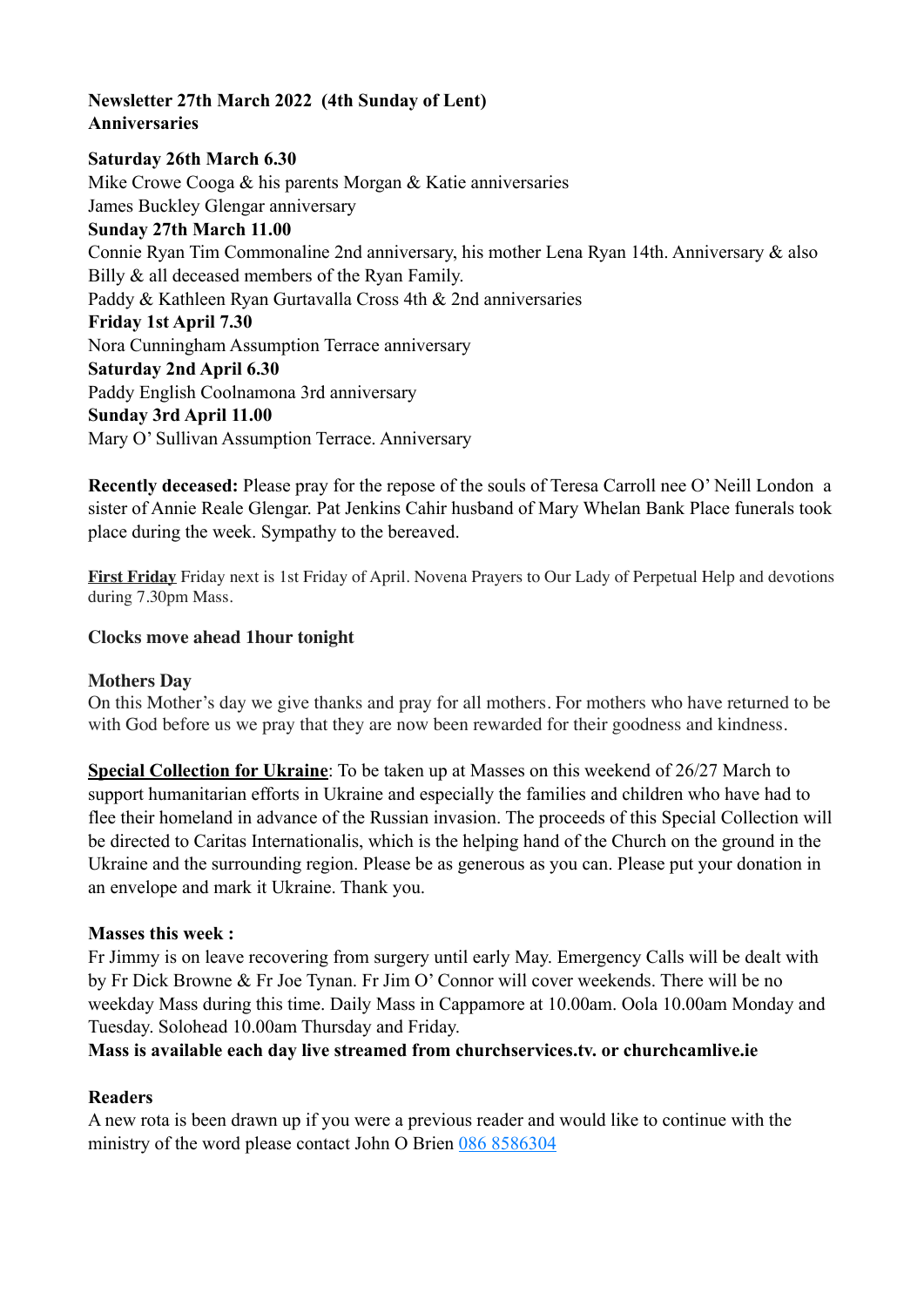## **Newsletter 27th March 2022 (4th Sunday of Lent) Anniversaries**

### **Saturday 26th March 6.30**

Mike Crowe Cooga & his parents Morgan & Katie anniversaries James Buckley Glengar anniversary **Sunday 27th March 11.00**  Connie Ryan Tim Commonaline 2nd anniversary, his mother Lena Ryan 14th. Anniversary & also Billy  $\&$  all deceased members of the Ryan Family. Paddy & Kathleen Ryan Gurtavalla Cross 4th & 2nd anniversaries **Friday 1st April 7.30** Nora Cunningham Assumption Terrace anniversary **Saturday 2nd April 6.30**  Paddy English Coolnamona 3rd anniversary **Sunday 3rd April 11.00** Mary O' Sullivan Assumption Terrace. Anniversary

**Recently deceased:** Please pray for the repose of the souls of Teresa Carroll nee O' Neill London a sister of Annie Reale Glengar. Pat Jenkins Cahir husband of Mary Whelan Bank Place funerals took place during the week. Sympathy to the bereaved.

**First Friday** Friday next is 1st Friday of April. Novena Prayers to Our Lady of Perpetual Help and devotions during 7.30pm Mass.

#### **Clocks move ahead 1hour tonight**

#### **Mothers Day**

On this Mother's day we give thanks and pray for all mothers. For mothers who have returned to be with God before us we pray that they are now been rewarded for their goodness and kindness.

**Special Collection for Ukraine**: To be taken up at Masses on this weekend of 26/27 March to support humanitarian efforts in Ukraine and especially the families and children who have had to flee their homeland in advance of the Russian invasion. The proceeds of this Special Collection will be directed to Caritas Internationalis, which is the helping hand of the Church on the ground in the Ukraine and the surrounding region. Please be as generous as you can. Please put your donation in an envelope and mark it Ukraine. Thank you.

#### **Masses this week :**

Fr Jimmy is on leave recovering from surgery until early May. Emergency Calls will be dealt with by Fr Dick Browne & Fr Joe Tynan. Fr Jim O' Connor will cover weekends. There will be no weekday Mass during this time. Daily Mass in Cappamore at 10.00am. Oola 10.00am Monday and Tuesday. Solohead 10.00am Thursday and Friday.

**Mass is available each day live streamed from churchservices.tv. or [churchcamlive.ie](http://churchcamlive.ie)** 

#### **Readers**

A new rota is been drawn up if you were a previous reader and would like to continue with the ministry of the word please contact John O Brien 086 8586304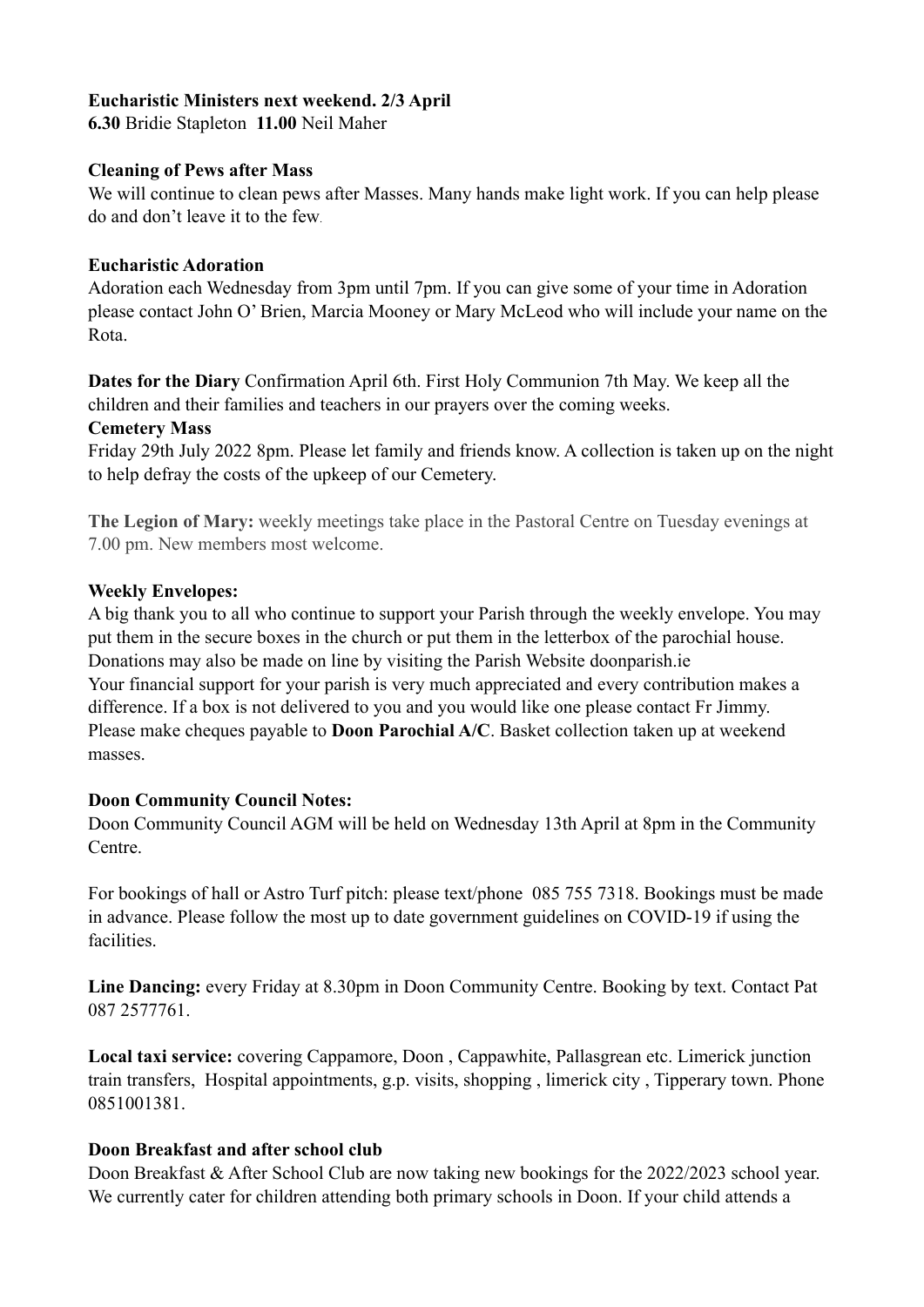## **Eucharistic Ministers next weekend. 2/3 April**

**6.30** Bridie Stapleton **11.00** Neil Maher

### **Cleaning of Pews after Mass**

We will continue to clean pews after Masses. Many hands make light work. If you can help please do and don't leave it to the few.

#### **Eucharistic Adoration**

Adoration each Wednesday from 3pm until 7pm. If you can give some of your time in Adoration please contact John O' Brien, Marcia Mooney or Mary McLeod who will include your name on the Rota.

**Dates for the Diary** Confirmation April 6th. First Holy Communion 7th May. We keep all the children and their families and teachers in our prayers over the coming weeks.

#### **Cemetery Mass**

Friday 29th July 2022 8pm. Please let family and friends know. A collection is taken up on the night to help defray the costs of the upkeep of our Cemetery.

**The Legion of Mary:** weekly meetings take place in the Pastoral Centre on Tuesday evenings at 7.00 pm. New members most welcome.

## **Weekly Envelopes:**

A big thank you to all who continue to support your Parish through the weekly envelope. You may put them in the secure boxes in the church or put them in the letterbox of the parochial house. Donations may also be made on line by visiting the Parish Website [doonparish.ie](http://doonparish.ie) Your financial support for your parish is very much appreciated and every contribution makes a difference. If a box is not delivered to you and you would like one please contact Fr Jimmy. Please make cheques payable to **Doon Parochial A/C**. Basket collection taken up at weekend masses.

## **Doon Community Council Notes:**

Doon Community Council AGM will be held on Wednesday 13th April at 8pm in the Community Centre.

For bookings of hall or Astro Turf pitch: please text/phone 085 755 7318. Bookings must be made in advance. Please follow the most up to date government guidelines on COVID-19 if using the facilities.

**Line Dancing:** every Friday at 8.30pm in Doon Community Centre. Booking by text. Contact Pat 087 2577761.

**Local taxi service:** covering Cappamore, Doon , Cappawhite, Pallasgrean etc. Limerick junction train transfers, Hospital appointments, g.p. visits, shopping , limerick city , Tipperary town. Phone 0851001381.

## **Doon Breakfast and after school club**

Doon Breakfast & After School Club are now taking new bookings for the 2022/2023 school year. We currently cater for children attending both primary schools in Doon. If your child attends a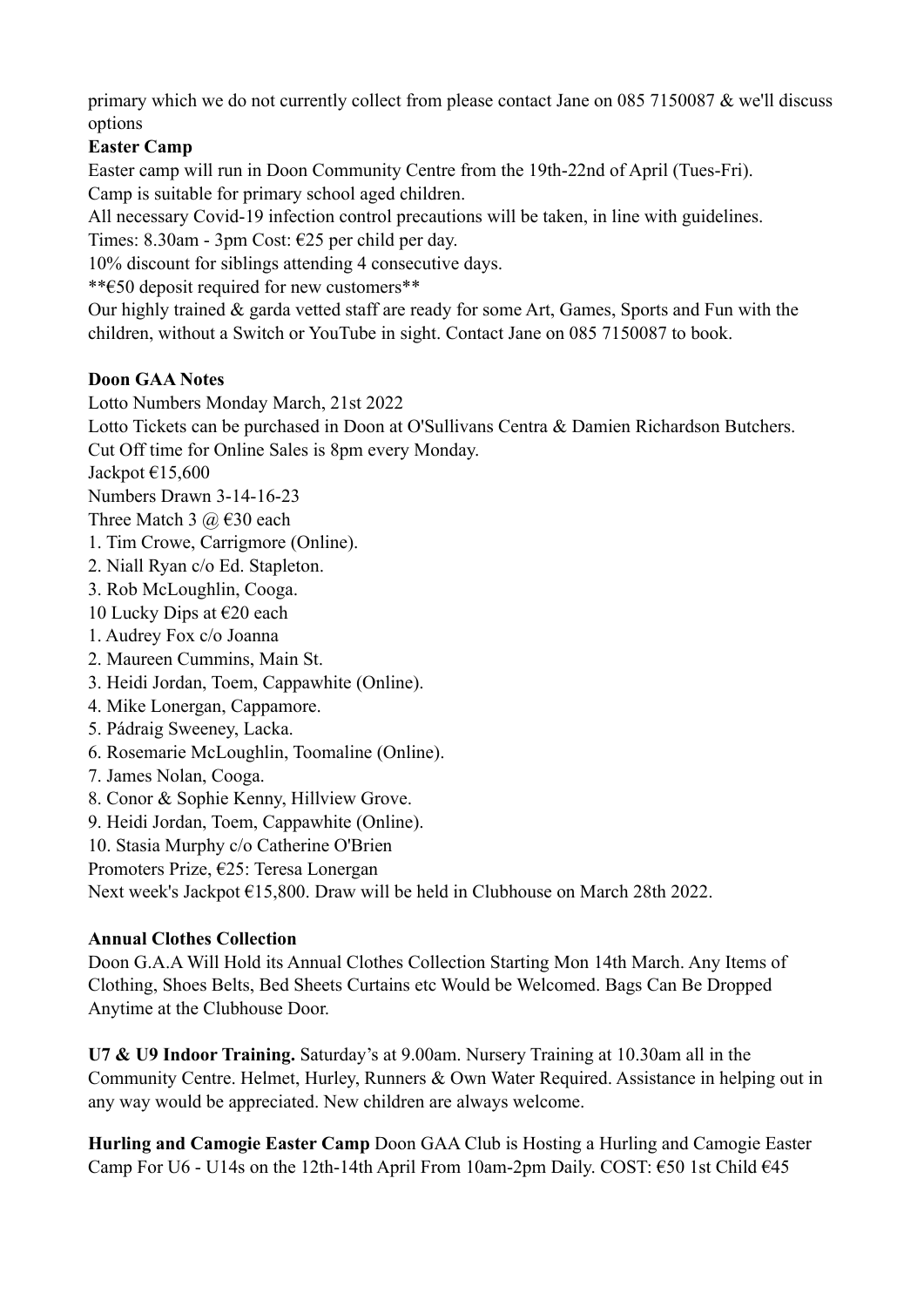primary which we do not currently collect from please contact Jane on 085 7150087 & we'll discuss options

# **Easter Camp**

Easter camp will run in Doon Community Centre from the 19th-22nd of April (Tues-Fri). Camp is suitable for primary school aged children.

All necessary Covid-19 infection control precautions will be taken, in line with guidelines. Times: 8.30am - 3pm Cost: €25 per child per day.

10% discount for siblings attending 4 consecutive days.

\*\*€50 deposit required for new customers\*\*

Our highly trained & garda vetted staff are ready for some Art, Games, Sports and Fun with the children, without a Switch or YouTube in sight. Contact Jane on 085 7150087 to book.

# **Doon GAA Notes**

Lotto Numbers Monday March, 21st 2022

Lotto Tickets can be purchased in Doon at O'Sullivans Centra & Damien Richardson Butchers.

Cut Off time for Online Sales is 8pm every Monday.

Jackpot  $£15,600$ 

Numbers Drawn 3-14-16-23

Three Match 3  $\omega \in 30$  each

- 1. Tim Crowe, Carrigmore (Online).
- 2. Niall Ryan c/o Ed. Stapleton.
- 3. Rob McLoughlin, Cooga.
- 10 Lucky Dips at  $\epsilon$ 20 each
- 1. Audrey Fox c/o Joanna
- 2. Maureen Cummins, Main St.
- 3. Heidi Jordan, Toem, Cappawhite (Online).
- 4. Mike Lonergan, Cappamore.
- 5. Pádraig Sweeney, Lacka.
- 6. Rosemarie McLoughlin, Toomaline (Online).
- 7. James Nolan, Cooga.
- 8. Conor & Sophie Kenny, Hillview Grove.
- 9. Heidi Jordan, Toem, Cappawhite (Online).
- 10. Stasia Murphy c/o Catherine O'Brien
- Promoters Prize, €25: Teresa Lonergan

Next week's Jackpot €15,800. Draw will be held in Clubhouse on March 28th 2022.

# **Annual Clothes Collection**

Doon G.A.A Will Hold its Annual Clothes Collection Starting Mon 14th March. Any Items of Clothing, Shoes Belts, Bed Sheets Curtains etc Would be Welcomed. Bags Can Be Dropped Anytime at the Clubhouse Door.

**U7 & U9 Indoor Training.** Saturday's at 9.00am. Nursery Training at 10.30am all in the Community Centre. Helmet, Hurley, Runners & Own Water Required. Assistance in helping out in any way would be appreciated. New children are always welcome.

**Hurling and Camogie Easter Camp** Doon GAA Club is Hosting a Hurling and Camogie Easter Camp For U6 - U14s on the 12th-14th April From 10am-2pm Daily. COST:  $\epsilon$ 50 1st Child  $\epsilon$ 45